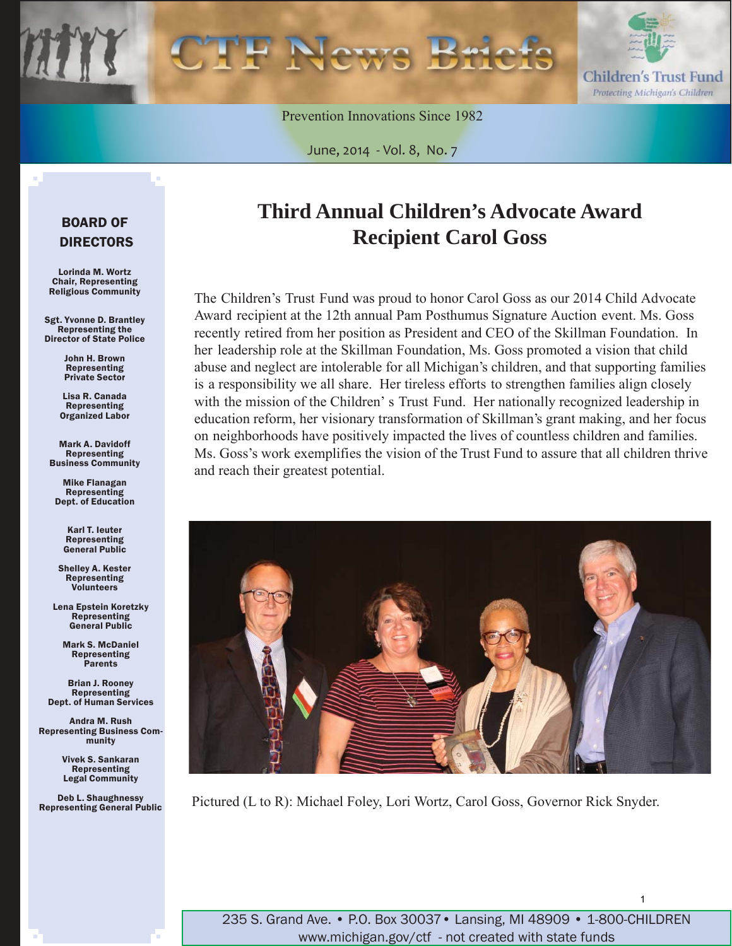

Prevention Innovations Since 1982

June, 2014 - Vol. 8, No. 7

### BOARD OF DIRECTORS

Lorinda M. Wortz Chair, Representing Religious Community

Sgt. Yvonne D. Brantley Representing the Director of State Police

> John H. Brown Representing Private Sector

Lisa R. Canada Representing Organized Labor

Mark A. Davidoff Representing Business Community

Mike Flanagan Representing Dept. of Education

> Karl T. Ieuter Representing General Public

Shelley A. Kester Representing Volunteers

Lena Epstein Koretzky Representing General Public

Mark S. McDaniel Representing Parents

Brian J. Rooney Representing Dept. of Human Services

Andra M. Rush Representing Business Community

> Vivek S. Sankaran Representing Legal Community

Deb L. Shaughnessy Representing General Public

### **Third Annual Children's Advocate Award Recipient Carol Goss**

The Children's Trust Fund was proud to honor Carol Goss as our 2014 Child Advocate Award recipient at the 12th annual Pam Posthumus Signature Auction event. Ms. Goss recently retired from her position as President and CEO of the Skillman Foundation. In her leadership role at the Skillman Foundation, Ms. Goss promoted a vision that child abuse and neglect are intolerable for all Michigan's children, and that supporting families is a responsibility we all share. Her tireless efforts to strengthen families align closely with the mission of the Children' s Trust Fund. Her nationally recognized leadership in education reform, her visionary transformation of Skillman's grant making, and her focus on neighborhoods have positively impacted the lives of countless children and families. Ms. Goss's work exemplifies the vision of the Trust Fund to assure that all children thrive and reach their greatest potential.



Pictured (L to R): Michael Foley, Lori Wortz, Carol Goss, Governor Rick Snyder.

235 S. Grand Ave. • P.O. Box 30037• Lansing, MI 48909 • 1-800-CHILDREN www.michigan.gov/ctf - not created with state funds

1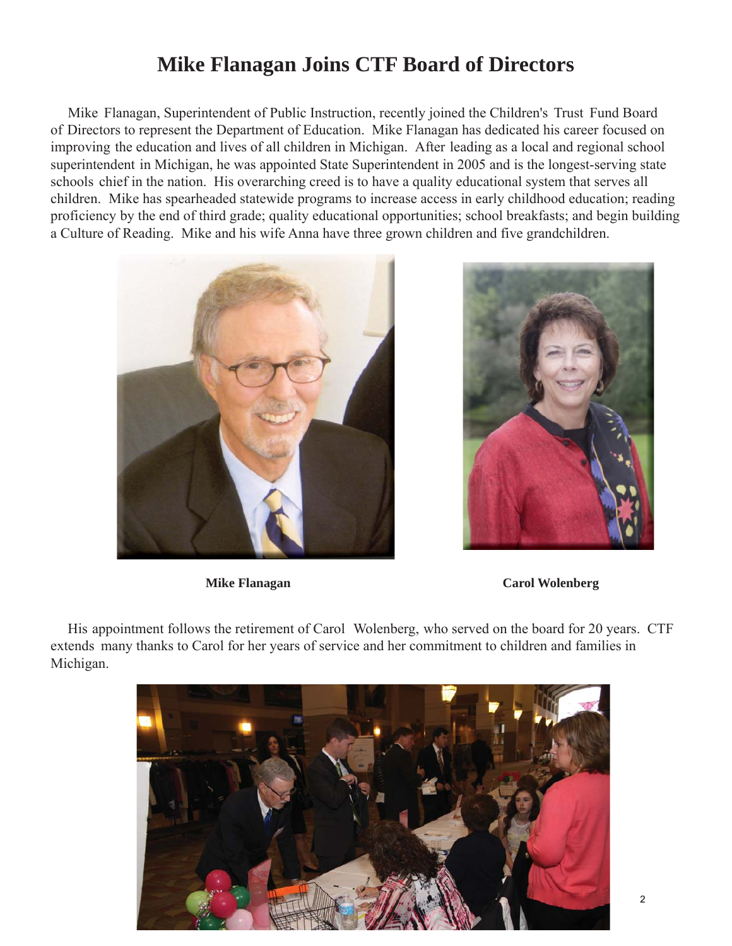### **Mike Flanagan Joins CTF Board of Directors**

Mike Flanagan, Superintendent of Public Instruction, recently joined the Children's Trust Fund Board of Directors to represent the Department of Education. Mike Flanagan has dedicated his career focused on improving the education and lives of all children in Michigan. After leading as a local and regional school superintendent in Michigan, he was appointed State Superintendent in 2005 and is the longest-serving state schools chief in the nation. His overarching creed is to have a quality educational system that serves all children. Mike has spearheaded statewide programs to increase access in early childhood education; reading proficiency by the end of third grade; quality educational opportunities; school breakfasts; and begin building a Culture of Reading. Mike and his wife Anna have three grown children and five grandchildren.





**Mike Flanagan Carol Wolenberg**

His appointment follows the retirement of Carol Wolenberg, who served on the board for 20 years. CTF extends many thanks to Carol for her years of service and her commitment to children and families in Michigan.

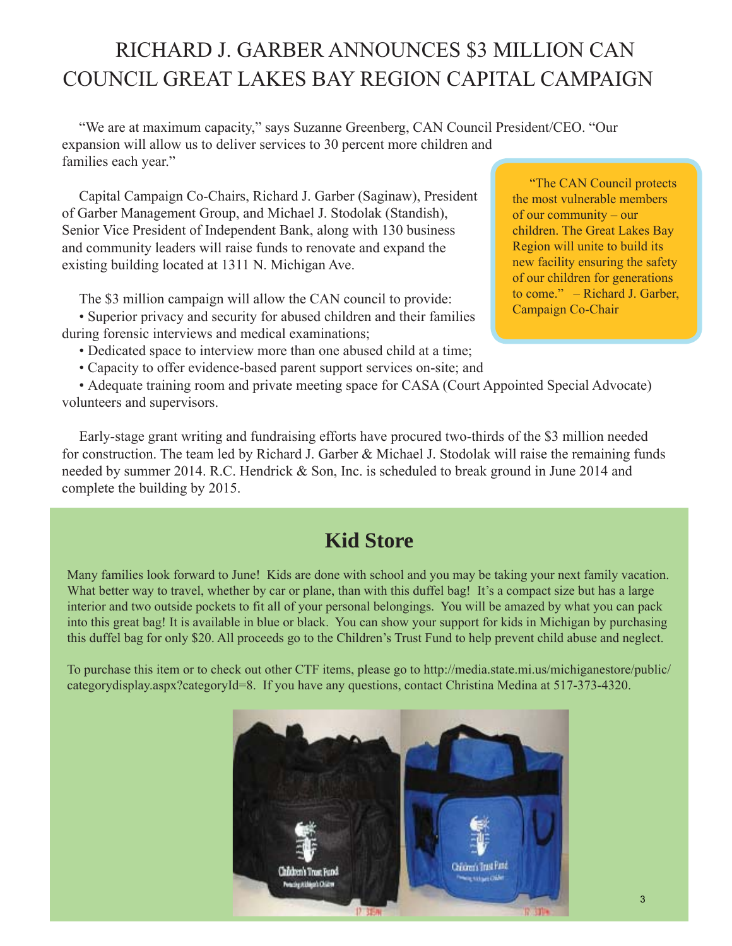## RICHARD J. GARBER ANNOUNCES \$3 MILLION CAN COUNCIL GREAT LAKES BAY REGION CAPITAL CAMPAIGN

"We are at maximum capacity," says Suzanne Greenberg, CAN Council President/CEO. "Our expansion will allow us to deliver services to 30 percent more children and families each year."

Capital Campaign Co-Chairs, Richard J. Garber (Saginaw), President of Garber Management Group, and Michael J. Stodolak (Standish), Senior Vice President of Independent Bank, along with 130 business and community leaders will raise funds to renovate and expand the existing building located at 1311 N. Michigan Ave.

The \$3 million campaign will allow the CAN council to provide:

• Superior privacy and security for abused children and their families during forensic interviews and medical examinations;

- Dedicated space to interview more than one abused child at a time;
- Capacity to offer evidence-based parent support services on-site; and

• Adequate training room and private meeting space for CASA (Court Appointed Special Advocate) volunteers and supervisors.

Early-stage grant writing and fundraising efforts have procured two-thirds of the \$3 million needed for construction. The team led by Richard J. Garber & Michael J. Stodolak will raise the remaining funds needed by summer 2014. R.C. Hendrick & Son, Inc. is scheduled to break ground in June 2014 and complete the building by 2015.

### **Kid Store**

Many families look forward to June! Kids are done with school and you may be taking your next family vacation. What better way to travel, whether by car or plane, than with this duffel bag! It's a compact size but has a large interior and two outside pockets to fit all of your personal belongings. You will be amazed by what you can pack into this great bag! It is available in blue or black. You can show your support for kids in Michigan by purchasing this duffel bag for only \$20. All proceeds go to the Children's Trust Fund to help prevent child abuse and neglect.

To purchase this item or to check out other CTF items, please go to [http://media.state.mi.us/michiganestore/public/](http://media.state.mi.us/michiganestore/public/categorydisplay.aspx?categoryId=8) [categorydisplay.aspx?categoryId=8.](http://media.state.mi.us/michiganestore/public/categorydisplay.aspx?categoryId=8) If you have any questions, contact Christina Medina at 517-373-4320.



"The CAN Council protects the most vulnerable members of our community – our children. The Great Lakes Bay Region will unite to build its new facility ensuring the safety of our children for generations to come." – Richard J. Garber, Campaign Co-Chair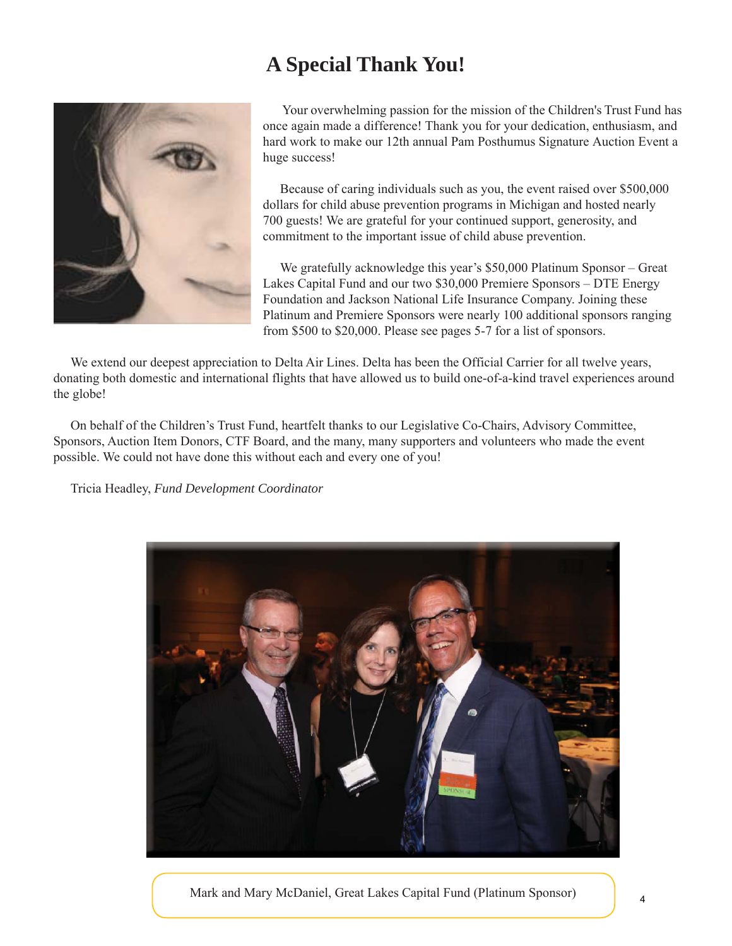### **A Special Thank You!**



Your overwhelming passion for the mission of the Children's Trust Fund has once again made a difference! Thank you for your dedication, enthusiasm, and hard work to make our 12th annual Pam Posthumus Signature Auction Event a huge success!

Because of caring individuals such as you, the event raised over \$500,000 dollars for child abuse prevention programs in Michigan and hosted nearly 700 guests! We are grateful for your continued support, generosity, and commitment to the important issue of child abuse prevention.

We gratefully acknowledge this year's \$50,000 Platinum Sponsor – Great Lakes Capital Fund and our two \$30,000 Premiere Sponsors – DTE Energy Foundation and Jackson National Life Insurance Company. Joining these Platinum and Premiere Sponsors were nearly 100 additional sponsors ranging from \$500 to \$20,000. Please see pages 5-7 for a list of sponsors.

We extend our deepest appreciation to Delta Air Lines. Delta has been the Official Carrier for all twelve years, donating both domestic and international flights that have allowed us to build one-of-a-kind travel experiences around the globe!

On behalf of the Children's Trust Fund, heartfelt thanks to our Legislative Co-Chairs, Advisory Committee, Sponsors, Auction Item Donors, CTF Board, and the many, many supporters and volunteers who made the event possible. We could not have done this without each and every one of you!

Tricia Headley, *Fund Development Coordinator* 



Mark and Mary McDaniel, Great Lakes Capital Fund (Platinum Sponsor)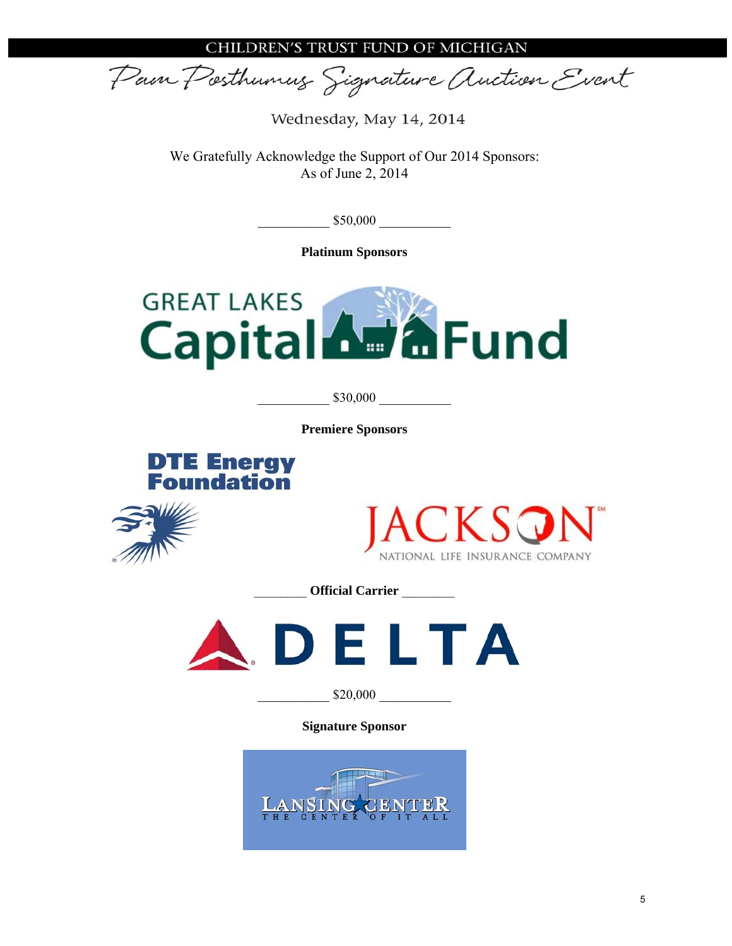CHILDREN'S TRUST FUND OF MICHIGAN

Pain Posthumus Signature Auction Event

Wednesday, May 14, 2014

We Gratefully Acknowledge the Support of Our 2014 Sponsors: As of June 2, 2014

 $\_$ \$50,000

**Platinum Sponsors** 



\_\_\_\_\_\_\_\_\_\_ \$30,000 \_\_\_\_\_\_\_\_\_\_

**Premiere Sponsors** 







\_\_\_\_\_\_\_\_ **Official Carrier** \_\_\_\_\_\_\_\_



\_\_\_\_\_\_\_\_\_\_ \$20,000 \_\_\_\_\_\_\_\_\_\_

**Signature Sponsor** 

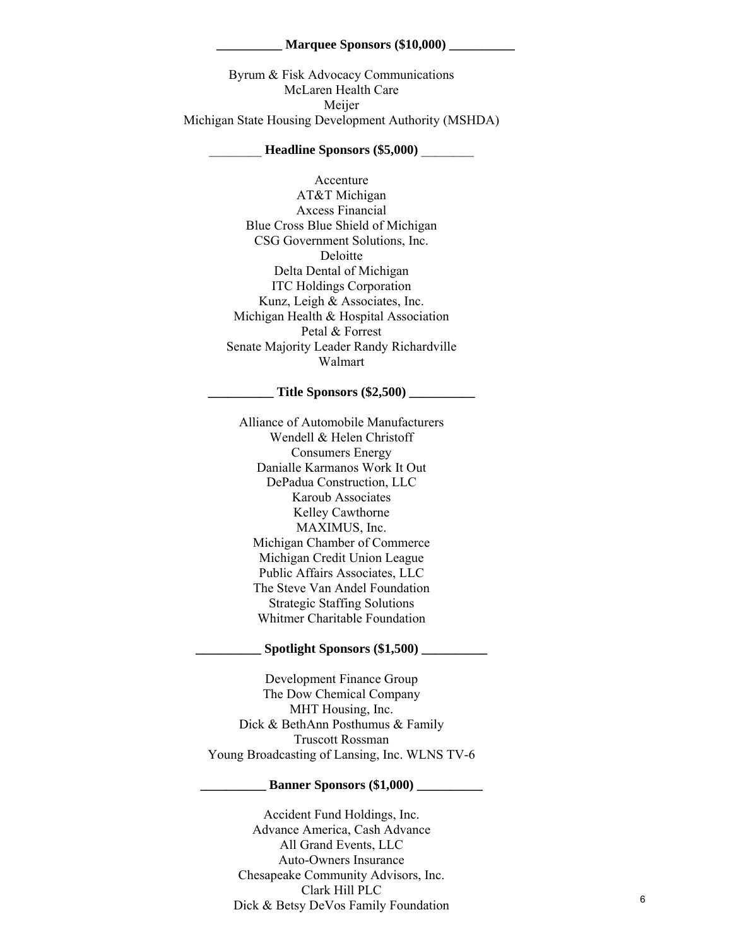#### **\_\_\_\_\_\_\_\_\_\_ Marquee Sponsors (\$10,000) \_\_\_\_\_\_\_\_\_\_**

Byrum & Fisk Advocacy Communications McLaren Health Care Meijer Michigan State Housing Development Authority (MSHDA)

#### \_\_\_\_\_\_\_\_ **Headline Sponsors (\$5,000)** \_\_\_\_\_\_\_\_

Accenture AT&T Michigan Axcess Financial Blue Cross Blue Shield of Michigan CSG Government Solutions, Inc. Deloitte Delta Dental of Michigan ITC Holdings Corporation Kunz, Leigh & Associates, Inc. Michigan Health & Hospital Association Petal & Forrest Senate Majority Leader Randy Richardville Walmart

### **\_\_\_\_\_\_\_\_\_\_ Title Sponsors (\$2,500) \_\_\_\_\_\_\_\_\_\_**

Alliance of Automobile Manufacturers Wendell & Helen Christoff Consumers Energy Danialle Karmanos Work It Out DePadua Construction, LLC Karoub Associates Kelley Cawthorne MAXIMUS, Inc. Michigan Chamber of Commerce Michigan Credit Union League Public Affairs Associates, LLC The Steve Van Andel Foundation Strategic Staffing Solutions Whitmer Charitable Foundation

#### Spotlight Sponsors (\$1,500)

Development Finance Group The Dow Chemical Company MHT Housing, Inc. Dick & BethAnn Posthumus & Family Truscott Rossman Young Broadcasting of Lansing, Inc. WLNS TV-6

#### **Banner Sponsors (\$1,000)**

Accident Fund Holdings, Inc. Advance America, Cash Advance All Grand Events, LLC Auto-Owners Insurance Chesapeake Community Advisors, Inc. Clark Hill PLC Dick & Betsy DeVos Family Foundation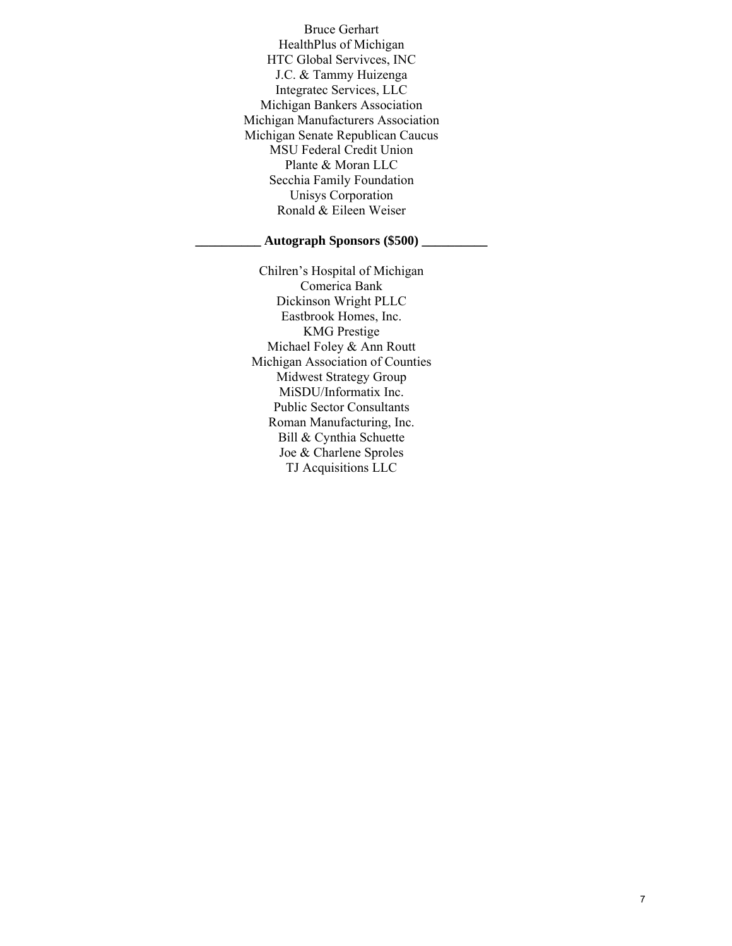Bruce Gerhart HealthPlus of Michigan HTC Global Servivces, INC J.C. & Tammy Huizenga Integratec Services, LLC Michigan Bankers Association Michigan Manufacturers Association Michigan Senate Republican Caucus MSU Federal Credit Union Plante & Moran LLC Secchia Family Foundation Unisys Corporation Ronald & Eileen Weiser

### **\_\_\_\_\_\_\_\_\_\_ Autograph Sponsors (\$500) \_\_\_\_\_\_\_\_\_\_**

Chilren's Hospital of Michigan Comerica Bank Dickinson Wright PLLC Eastbrook Homes, Inc. KMG Prestige Michael Foley & Ann Routt Michigan Association of Counties Midwest Strategy Group MiSDU/Informatix Inc. Public Sector Consultants Roman Manufacturing, Inc. Bill & Cynthia Schuette Joe & Charlene Sproles TJ Acquisitions LLC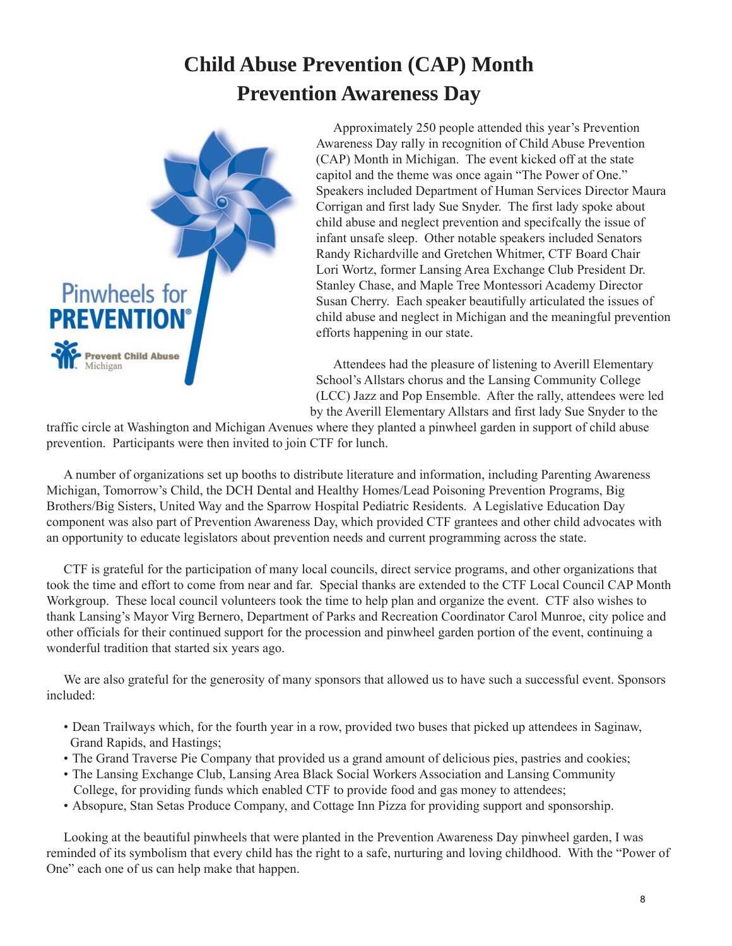### **Child Abuse Prevention (CAP) Month Prevention Awareness Day**



Approximately 250 people attended this year's Prevention Awareness Day rally in recognition of Child Abuse Prevention (CAP) Month in Michigan. The event kicked off at the state capitol and the theme was once again "The Power of One." Speakers included Department of Human Services Director Maura Corrigan and first lady Sue Snyder. The first lady spoke about child abuse and neglect prevention and specifcally the issue of infant unsafe sleep. Other notable speakers included Senators Randy Richardville and Gretchen Whitmer, CTF Board Chair Lori Wortz, former Lansing Area Exchange Club President Dr. Stanley Chase, and Maple Tree Montessori Academy Director Susan Cherry. Each speaker beautifully articulated the issues of child abuse and neglect in Michigan and the meaningful prevention efforts happening in our state.

Attendees had the pleasure of listening to Averill Elementary School's Allstars chorus and the Lansing Community College (LCC) Jazz and Pop Ensemble. After the rally, attendees were led by the Averill Elementary Allstars and first lady Sue Snyder to the

traffic circle at Washington and Michigan Avenues where they planted a pinwheel garden in support of child abuse prevention. Participants were then invited to join CTF for lunch.

A number of organizations set up booths to distribute literature and information, including Parenting Awareness Michigan, Tomorrow's Child, the DCH Dental and Healthy Homes/Lead Poisoning Prevention Programs, Big Brothers/Big Sisters, United Way and the Sparrow Hospital Pediatric Residents. A Legislative Education Day component was also part of Prevention Awareness Day, which provided CTF grantees and other child advocates with an opportunity to educate legislators about prevention needs and current programming across the state.

CTF is grateful for the participation of many local councils, direct service programs, and other organizations that took the time and effort to come from near and far. Special thanks are extended to the CTF Local Council CAP Month Workgroup. These local council volunteers took the time to help plan and organize the event. CTF also wishes to thank Lansing's Mayor Virg Bernero, Department of Parks and Recreation Coordinator Carol Munroe, city police and other officials for their continued support for the procession and pinwheel garden portion of the event, continuing a wonderful tradition that started six years ago.

We are also grateful for the generosity of many sponsors that allowed us to have such a successful event. Sponsors included:

- Dean Trailways which, for the fourth year in a row, provided two buses that picked up attendees in Saginaw, Grand Rapids, and Hastings;
- The Grand Traverse Pie Company that provided us a grand amount of delicious pies, pastries and cookies;
- The Lansing Exchange Club, Lansing Area Black Social Workers Association and Lansing Community College, for providing funds which enabled CTF to provide food and gas money to attendees;
- Absopure, Stan Setas Produce Company, and Cottage Inn Pizza for providing support and sponsorship.

Looking at the beautiful pinwheels that were planted in the Prevention Awareness Day pinwheel garden, I was reminded of its symbolism that every child has the right to a safe, nurturing and loving childhood. With the "Power of One" each one of us can help make that happen.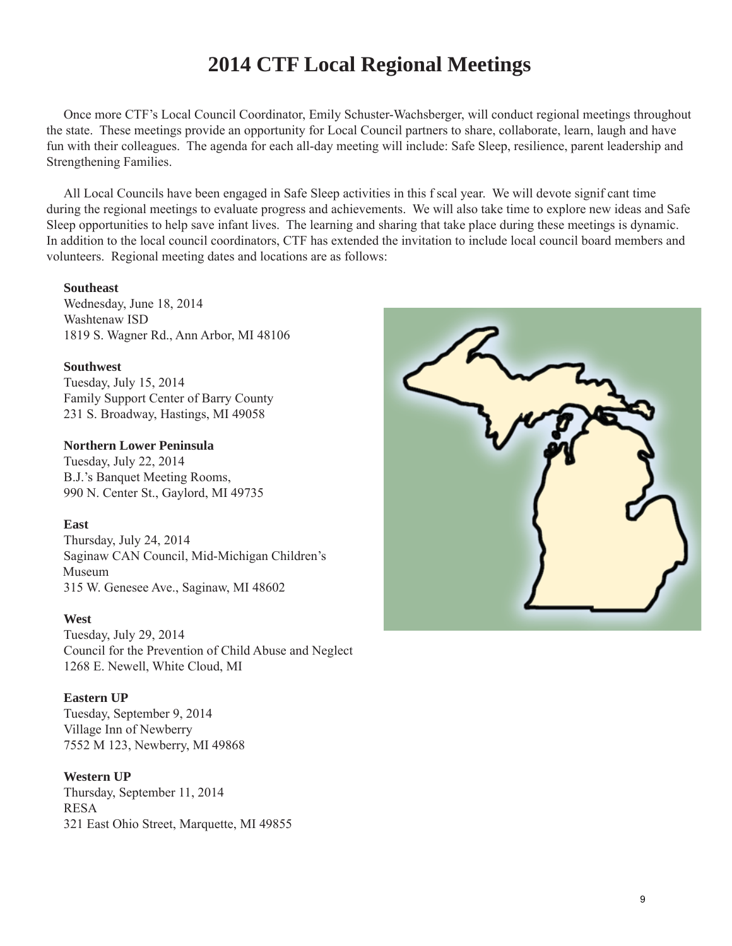### **2014 CTF Local Regional Meetings**

Once more CTF's Local Council Coordinator, Emily Schuster-Wachsberger, will conduct regional meetings throughout the state. These meetings provide an opportunity for Local Council partners to share, collaborate, learn, laugh and have fun with their colleagues. The agenda for each all-day meeting will include: Safe Sleep, resilience, parent leadership and Strengthening Families.

All Local Councils have been engaged in Safe Sleep activities in this f scal year. We will devote signif cant time during the regional meetings to evaluate progress and achievements. We will also take time to explore new ideas and Safe Sleep opportunities to help save infant lives. The learning and sharing that take place during these meetings is dynamic. In addition to the local council coordinators, CTF has extended the invitation to include local council board members and volunteers. Regional meeting dates and locations are as follows:

#### **Southeast**

Wednesday, June 18, 2014 Washtenaw ISD 1819 S. Wagner Rd., Ann Arbor, MI 48106

#### **Southwest**

Tuesday, July 15, 2014 Family Support Center of Barry County 231 S. Broadway, Hastings, MI 49058

### **Northern Lower Peninsula**

Tuesday, July 22, 2014 B.J.'s Banquet Meeting Rooms, 990 N. Center St., Gaylord, MI 49735

### **East**

Thursday, July 24, 2014 Saginaw CAN Council, Mid-Michigan Children's Museum 315 W. Genesee Ave., Saginaw, MI 48602

### **West**

Tuesday, July 29, 2014 Council for the Prevention of Child Abuse and Neglect 1268 E. Newell, White Cloud, MI

### **Eastern UP**

Tuesday, September 9, 2014 Village Inn of Newberry 7552 M 123, Newberry, MI 49868

### **Western UP**

Thursday, September 11, 2014 RESA 321 East Ohio Street, Marquette, MI 49855